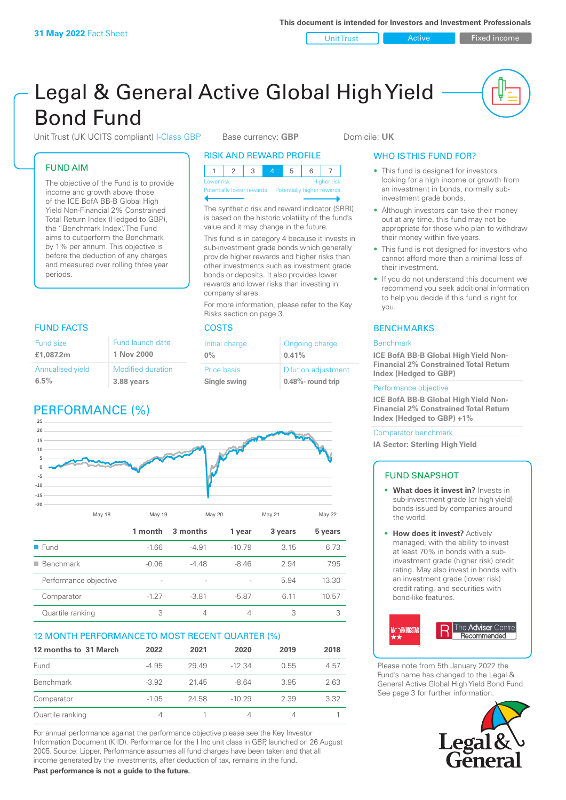Unit Trust **Active Active** Fixed income

## Legal & General Active Global High Yield Bond Fund

Unit Trust (UK UCITS compliant) I-Class GBP Base currency: **GBP** Domicile: UK

### FUND AIM

The objective of the Fund is to provide income and growth above those of the ICE BofA BB-B Global High Yield Non-Financial 2% Constrained Total Return Index (Hedged to GBP), the "Benchmark Index". The Fund aims to outperform the Benchmark by 1% per annum. This objective is before the deduction of any charges and measured over rolling three year periods.

### FUND FACTS COSTS

| Fund size<br>£1,087.2m  | Fund launch date<br>1 Nov 2000 |
|-------------------------|--------------------------------|
| <b>Annualised yield</b> | <b>Modified duration</b>       |
| 6.5%                    | 3.88 years                     |

## PERFORMANCE (%)

### RISK AND REWARD PROFILE

| Lower risk |  |  | Higher risk |
|------------|--|--|-------------|

Potentially lower rewards Potentially higher rewards

The synthetic risk and reward indicator (SRRI) is based on the historic volatility of the fund's value and it may change in the future.

This fund is in category 4 because it invests in sub-investment grade bonds which generally provide higher rewards and higher risks than other investments such as investment grade bonds or deposits. It also provides lower rewards and lower risks than investing in company shares.

For more information, please refer to the Key Risks section on page 3.

| Initial charge | Ongoing charge             |
|----------------|----------------------------|
| $0\%$          | 0.41%                      |
| Price basis    | <b>Dilution adjustment</b> |
| Single swing   | 0.48%- round trip          |



| $\blacksquare$ Benchmark | $-0.06$ | -4 48                    | $-846$                   | 2.94 | 7.95  |
|--------------------------|---------|--------------------------|--------------------------|------|-------|
| Performance objective    | $\sim$  | $\overline{\phantom{a}}$ | $\overline{\phantom{a}}$ | 5.94 | 13.30 |
| Comparator               | $-127$  | $-3.81$                  | $-5.87$                  | 6 11 | 10.57 |
| Quartile ranking         |         |                          |                          |      |       |

### 12 MONTH PERFORMANCE TO MOST RECENT QUARTER (%)

| 12 months to 31 March | 2022    | 2021  | 2020     | 2019 | 2018 |
|-----------------------|---------|-------|----------|------|------|
| Fund                  | $-4.95$ | 29.49 | $-12.34$ | 0.55 | 4.57 |
| <b>Benchmark</b>      | $-3.92$ | 21.45 | $-8.64$  | 3.95 | 2.63 |
| Comparator            | $-1.05$ | 24.58 | $-10.29$ | 2.39 | 3.32 |
| Quartile ranking      | 4       |       |          |      |      |

For annual performance against the performance objective please see the Key Investor Information Document (KIID). Performance for the I Inc unit class in GBP, launched on 26 August 2005. Source: Lipper. Performance assumes all fund charges have been taken and that all income generated by the investments, after deduction of tax, remains in the fund.

**Past performance is not a guide to the future.**

### WHO IS THIS FUND FOR?

- This fund is designed for investors looking for a high income or growth from an investment in bonds, normally subinvestment grade bonds.
- Although investors can take their money out at any time, this fund may not be appropriate for those who plan to withdraw their money within five years.
- This fund is not designed for investors who cannot afford more than a minimal loss of their investment.
- If you do not understand this document we recommend you seek additional information to help you decide if this fund is right for you.

### **BENCHMARKS**

### **Benchmark**

**ICE BofA BB-B Global High Yield Non-Financial 2% Constrained Total Return Index (Hedged to GBP)**

### Performance objective

**ICE BofA BB-B Global High Yield Non-Financial 2% Constrained Total Return Index (Hedged to GBP) +1%**

### Comparator benchmark

**IA Sector: Sterling High Yield**

### FUND SNAPSHOT

- **• What does it invest in?** Invests in sub-investment grade (or high yield) bonds issued by companies around the world.
- **• How does it invest?** Actively managed, with the ability to invest at least 70% in bonds with a subinvestment grade (higher risk) credit rating. May also invest in bonds with an investment grade (lower risk) credit rating, and securities with bond-like features.



Please note from 5th January 2022 the Fund's name has changed to the Legal & General Active Global High Yield Bond Fund. See page 3 for further information.

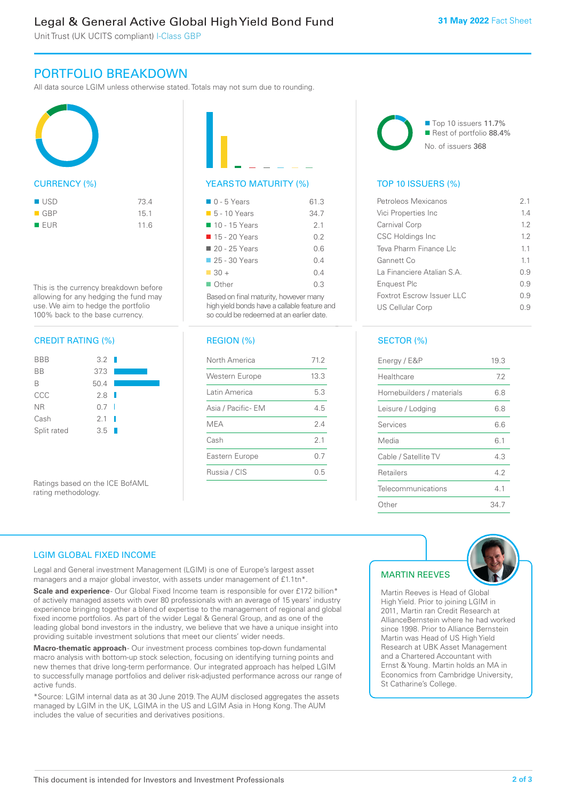### Legal & General Active Global High Yield Bond Fund

Unit Trust (UK UCITS compliant) I-Class GBP

### PORTFOLIO BREAKDOWN

All data source LGIM unless otherwise stated. Totals may not sum due to rounding.



This is the currency breakdown before allowing for any hedging the fund may use. We aim to hedge the portfolio 100% back to the base currency.

### CREDIT RATING (%)



Ratings based on the ICE BofAML rating methodology.

# YEARS TO MATURITY (%)

| $\Box$ 0 - 5 Years           | 61.3 |
|------------------------------|------|
| $\blacksquare$ 5 - 10 Years  | 34.7 |
| 10 - 15 Years                | 21   |
| 15 - 20 Years                | 02   |
| $\blacksquare$ 20 - 25 Years | 0 G  |
| 25 - 30 Years                | 0 4  |
| $\Box$ 30 +                  | 04   |
| ■ Other                      | 0 3  |
|                              |      |

Based on final maturity, however many high yield bonds have a callable feature and so could be redeemed at an earlier date.

### REGION (%)

| North America         | 71.2           |
|-----------------------|----------------|
| <b>Western Europe</b> | 13.3           |
| Latin America         | 5.3            |
| Asia / Pacific- EM    | 4.5            |
| MEA                   | 24             |
| Cash                  | 2 <sub>1</sub> |
| Eastern Europe        | 0.7            |
| Russia / CIS          | 0.5            |



### TOP 10 ISSUERS (%)

| Petroleos Mexicanos        | 21  |
|----------------------------|-----|
| Vici Properties Inc        | 14  |
| Carnival Corp              | 12  |
| <b>CSC Holdings Inc</b>    | 12  |
| Teva Pharm Finance Llc     | 11  |
| Gannett Co                 | 11  |
| La Financiere Atalian S.A. | 0.9 |
| Enguest Plc                | 09  |
| Foxtrot Escrow Issuer LLC  | 09  |
| <b>US Cellular Corp</b>    | -9  |
|                            |     |

### SECTOR (%)

| Energy / E&P             | 19.3 |
|--------------------------|------|
| Healthcare               | 7.2  |
| Homebuilders / materials | 6.8  |
| Leisure / Lodging        | 6.8  |
| Services                 | 6.6  |
| Media                    | 6.1  |
| Cable / Satellite TV     | 4.3  |
| Retailers                | 42   |
| Telecommunications       | 41   |
| Other                    | 34 7 |

### LGIM GLOBAL FIXED INCOME

Legal and General investment Management (LGIM) is one of Europe's largest asset managers and a major global investor, with assets under management of £1.1tn\*.

**Scale and experience** - Our Global Fixed Income team is responsible for over £172 billion\* of actively managed assets with over 80 professionals with an average of 15 years' industry experience bringing together a blend of expertise to the management of regional and global fixed income portfolios. As part of the wider Legal & General Group, and as one of the leading global bond investors in the industry, we believe that we have a unique insight into providing suitable investment solutions that meet our clients' wider needs.

**Macro-thematic approach** - Our investment process combines top-down fundamental macro analysis with bottom-up stock selection, focusing on identifying turning points and new themes that drive long-term performance. Our integrated approach has helped LGIM to successfully manage portfolios and deliver risk-adjusted performance across our range of active funds.

\*Source: LGIM internal data as at 30 June 2019. The AUM disclosed aggregates the assets managed by LGIM in the UK, LGIMA in the US and LGIM Asia in Hong Kong. The AUM includes the value of securities and derivatives positions.

### MARTIN REEVES



Martin Reeves is Head of Global High Yield. Prior to joining LGIM in 2011, Martin ran Credit Research at AllianceBernstein where he had worked since 1998. Prior to Alliance Bernstein Martin was Head of US High Yield Research at UBK Asset Management and a Chartered Accountant with Ernst & Young. Martin holds an MA in Economics from Cambridge University, St Catharine's College.